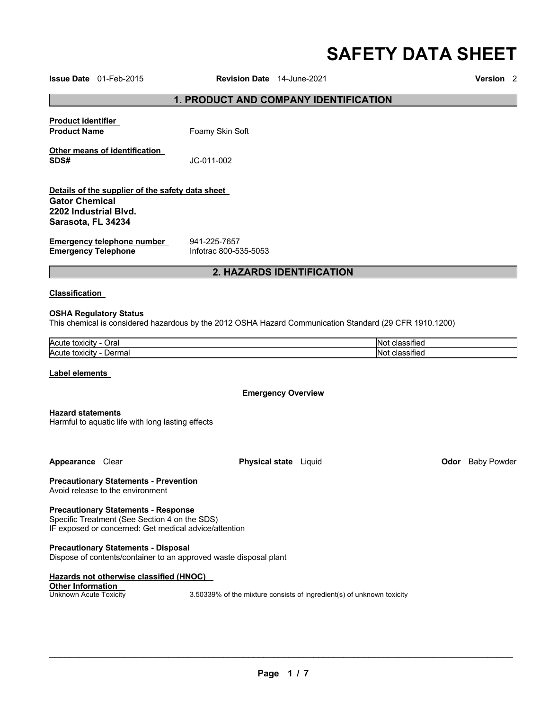# **SAFETY DATA SHEET**

**Issue Date** 01-Feb-2015 **Revision Date** 14-June-2021 **Version** 2

## **1. PRODUCT AND COMPANY IDENTIFICATION**

| <u>Product identifier</u>                                                     |                                                                                                         |                |
|-------------------------------------------------------------------------------|---------------------------------------------------------------------------------------------------------|----------------|
| <b>Product Name</b>                                                           | Foamy Skin Soft                                                                                         |                |
| Other means of identification<br>SDS#                                         | JC-011-002                                                                                              |                |
| Details of the supplier of the safety data sheet                              |                                                                                                         |                |
| <b>Gator Chemical</b><br>2202 Industrial Blvd.<br>Sarasota, FL 34234          |                                                                                                         |                |
| <b>Emergency telephone number</b><br><b>Emergency Telephone</b>               | 941-225-7657<br>Infotrac 800-535-5053                                                                   |                |
|                                                                               | 2. HAZARDS IDENTIFICATION                                                                               |                |
| Classification                                                                |                                                                                                         |                |
| <b>OSHA Regulatory Status</b>                                                 | This chemical is considered hazardous by the 2012 OSHA Hazard Communication Standard (29 CFR 1910.1200) |                |
| Acute toxicity - Oral                                                         |                                                                                                         | Not classified |
| Acute toxicity - Dermal                                                       |                                                                                                         | Not classified |
| Label elements                                                                |                                                                                                         |                |
|                                                                               | <b>Emergency Overview</b>                                                                               |                |
| <b>Hazard statements</b><br>Harmful to aquatic life with long lasting effects |                                                                                                         |                |

**Appearance** Clear **Physical state** Liquid **Odor** Baby Powder

**Precautionary Statements - Prevention** Avoid release to the environment

**Precautionary Statements - Response**

Specific Treatment (See Section 4 on the SDS) IF exposed or concerned: Get medical advice/attention

**Precautionary Statements - Disposal** Dispose of contents/container to an approved waste disposal plant

**Hazards not otherwise classified (HNOC) Other Information**<br>Unknown Acute Toxicity 3.50339% of the mixture consists of ingredient(s) of unknown toxicity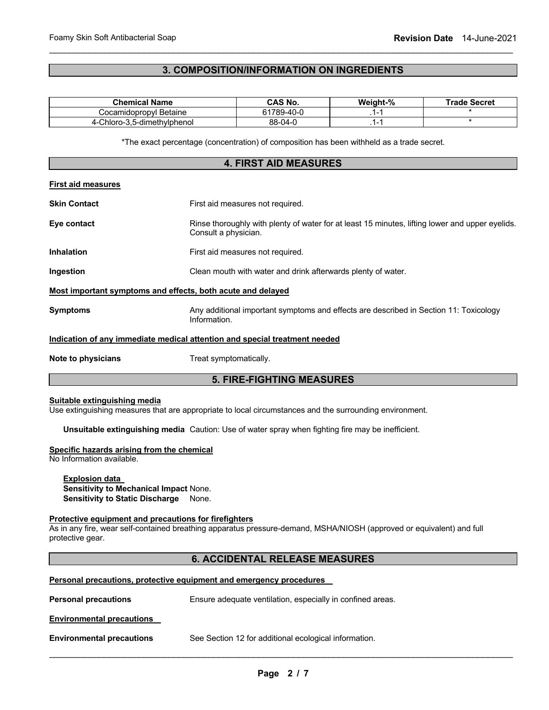## **3. COMPOSITION/INFORMATION ON INGREDIENTS**

\_\_\_\_\_\_\_\_\_\_\_\_\_\_\_\_\_\_\_\_\_\_\_\_\_\_\_\_\_\_\_\_\_\_\_\_\_\_\_\_\_\_\_\_\_\_\_\_\_\_\_\_\_\_\_\_\_\_\_\_\_\_\_\_\_\_\_\_\_\_\_\_\_\_\_\_\_\_\_\_\_\_\_\_\_\_\_\_\_\_\_\_\_

| <b>Chemical Name</b>                                                       |  | <b>CAS No.</b>                                                                                                            | Weight-% | <b>Trade Secret</b> |
|----------------------------------------------------------------------------|--|---------------------------------------------------------------------------------------------------------------------------|----------|---------------------|
| Cocamidopropyl Betaine                                                     |  | 61789-40-0                                                                                                                | $.1 - 1$ |                     |
| $\star$<br>88-04-0<br>$.1 - 1$<br>4-Chloro-3,5-dimethylphenol              |  |                                                                                                                           |          |                     |
|                                                                            |  | *The exact percentage (concentration) of composition has been withheld as a trade secret.<br><b>4. FIRST AID MEASURES</b> |          |                     |
| <b>First aid measures</b>                                                  |  |                                                                                                                           |          |                     |
| <b>Skin Contact</b>                                                        |  | First aid measures not required.                                                                                          |          |                     |
| Eye contact                                                                |  | Rinse thoroughly with plenty of water for at least 15 minutes, lifting lower and upper eyelids.<br>Consult a physician.   |          |                     |
| <b>Inhalation</b>                                                          |  | First aid measures not required.                                                                                          |          |                     |
| Ingestion                                                                  |  | Clean mouth with water and drink afterwards plenty of water.                                                              |          |                     |
| Most important symptoms and effects, both acute and delayed                |  |                                                                                                                           |          |                     |
| <b>Symptoms</b>                                                            |  | Any additional important symptoms and effects are described in Section 11: Toxicology<br>Information.                     |          |                     |
| Indication of any immediate medical attention and special treatment needed |  |                                                                                                                           |          |                     |
| Note to physicians                                                         |  | Treat symptomatically.                                                                                                    |          |                     |
|                                                                            |  | <b>5. FIRE-FIGHTING MEASURES</b>                                                                                          |          |                     |

## **Suitable extinguishing media**

Use extinguishing measures that are appropriate to local circumstances and the surrounding environment.

**Unsuitable extinguishing media** Caution: Use of water spray when fighting fire may be inefficient.

## **Specific hazards arising from the chemical**

No Information available.

**Explosion data Sensitivity to Mechanical Impact** None. **Sensitivity to Static Discharge** None.

## **Protective equipment and precautions for firefighters**

As in any fire, wear self-contained breathing apparatus pressure-demand, MSHA/NIOSH (approved or equivalent) and full protective gear.

## **6. ACCIDENTAL RELEASE MEASURES**

| Personal precautions, protective equipment and emergency procedures |                                                            |  |  |
|---------------------------------------------------------------------|------------------------------------------------------------|--|--|
| <b>Personal precautions</b>                                         | Ensure adequate ventilation, especially in confined areas. |  |  |

**Environmental precautions** 

**Environmental precautions** See Section 12 for additional ecological information.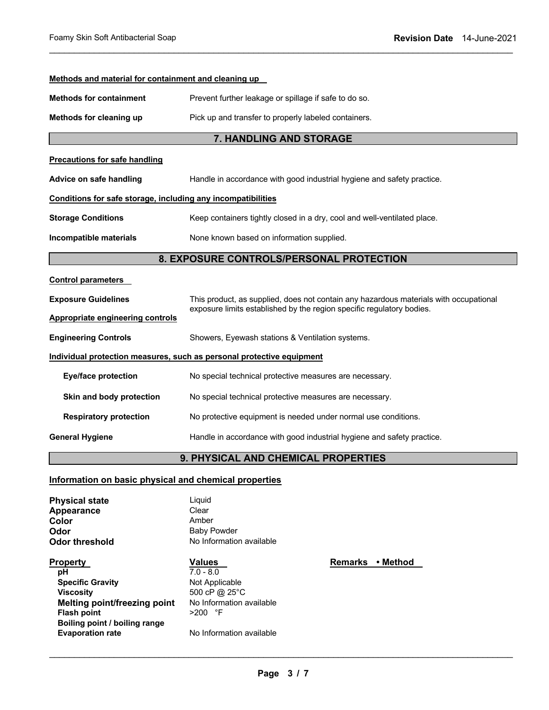| Methods and material for containment and cleaning up                  |                                                                                       |  |  |
|-----------------------------------------------------------------------|---------------------------------------------------------------------------------------|--|--|
| <b>Methods for containment</b>                                        | Prevent further leakage or spillage if safe to do so.                                 |  |  |
| Methods for cleaning up                                               | Pick up and transfer to properly labeled containers.                                  |  |  |
|                                                                       | 7. HANDLING AND STORAGE                                                               |  |  |
| <b>Precautions for safe handling</b>                                  |                                                                                       |  |  |
| Advice on safe handling                                               | Handle in accordance with good industrial hygiene and safety practice.                |  |  |
| Conditions for safe storage, including any incompatibilities          |                                                                                       |  |  |
| <b>Storage Conditions</b>                                             | Keep containers tightly closed in a dry, cool and well-ventilated place.              |  |  |
| Incompatible materials                                                | None known based on information supplied.                                             |  |  |
|                                                                       | 8. EXPOSURE CONTROLS/PERSONAL PROTECTION                                              |  |  |
| <b>Control parameters</b>                                             |                                                                                       |  |  |
| <b>Exposure Guidelines</b>                                            | This product, as supplied, does not contain any hazardous materials with occupational |  |  |
| <b>Appropriate engineering controls</b>                               | exposure limits established by the region specific regulatory bodies.                 |  |  |
| <b>Engineering Controls</b>                                           | Showers, Eyewash stations & Ventilation systems.                                      |  |  |
| Individual protection measures, such as personal protective equipment |                                                                                       |  |  |
| <b>Eye/face protection</b>                                            | No special technical protective measures are necessary.                               |  |  |
| Skin and body protection                                              | No special technical protective measures are necessary.                               |  |  |
| <b>Respiratory protection</b>                                         | No protective equipment is needed under normal use conditions.                        |  |  |
| <b>General Hygiene</b>                                                | Handle in accordance with good industrial hygiene and safety practice.                |  |  |
| 9. PHYSICAL AND CHEMICAL PROPERTIES                                   |                                                                                       |  |  |

\_\_\_\_\_\_\_\_\_\_\_\_\_\_\_\_\_\_\_\_\_\_\_\_\_\_\_\_\_\_\_\_\_\_\_\_\_\_\_\_\_\_\_\_\_\_\_\_\_\_\_\_\_\_\_\_\_\_\_\_\_\_\_\_\_\_\_\_\_\_\_\_\_\_\_\_\_\_\_\_\_\_\_\_\_\_\_\_\_\_\_\_\_

## **Information on basic physical and chemical properties**

| <b>Physical state</b>               | Liquid                   |
|-------------------------------------|--------------------------|
| Appearance                          | Clear                    |
| Color                               | Amber                    |
| Odor                                | <b>Baby Powder</b>       |
| Odor threshold                      | No Information available |
| Property                            | Values                   |
| рH                                  | $7.0 - 8.0$              |
| <b>Specific Gravity</b>             | Not Applicable           |
| <b>Viscosity</b>                    | 500 cP @ 25°C            |
| <b>Melting point/freezing point</b> | No Information available |
| <b>Flash point</b>                  | $>200$ °F                |
| Boiling point / boiling range       |                          |
| <b>Evaporation rate</b>             | No Information available |
|                                     |                          |

\_\_\_\_\_\_\_\_\_\_\_\_\_\_\_\_\_\_\_\_\_\_\_\_\_\_\_\_\_\_\_\_\_\_\_\_\_\_\_\_\_\_\_\_\_\_\_\_\_\_\_\_\_\_\_\_\_\_\_\_\_\_\_\_\_\_\_\_\_\_\_\_\_\_\_\_\_\_\_\_\_\_\_\_\_\_\_\_\_\_\_\_\_

**Remarks • Method**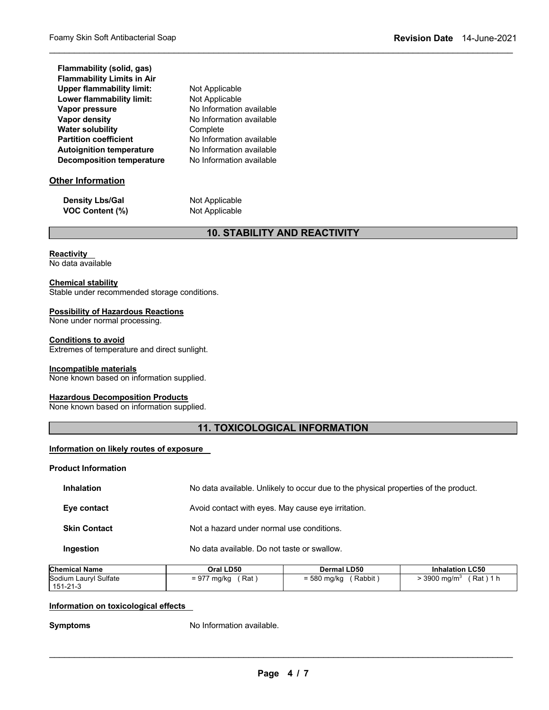| Flammability (solid, gas)         |
|-----------------------------------|
| <b>Flammability Limits in Air</b> |
| <b>Upper flammability limit:</b>  |
| Lower flammability limit:         |
| <b>Vapor pressure</b>             |
| <b>Vapor density</b>              |
| <b>Water solubility</b>           |
| <b>Partition coefficient</b>      |
| <b>Autoignition temperature</b>   |
| <b>Decomposition temperature</b>  |

## **Other Information**

| <b>Density Lbs/Gal</b> |  |
|------------------------|--|
| <b>VOC Content (%)</b> |  |

**Not Applicable Not Applicable** 

**Not Applicable Not Applicable** 

Complete

**No Information available No Information available** 

**No Information available No Information available No Information available** 

## **10. STABILITY AND REACTIVITY**

\_\_\_\_\_\_\_\_\_\_\_\_\_\_\_\_\_\_\_\_\_\_\_\_\_\_\_\_\_\_\_\_\_\_\_\_\_\_\_\_\_\_\_\_\_\_\_\_\_\_\_\_\_\_\_\_\_\_\_\_\_\_\_\_\_\_\_\_\_\_\_\_\_\_\_\_\_\_\_\_\_\_\_\_\_\_\_\_\_\_\_\_\_

## **Reactivity**

No data available

## **Chemical stability**

Stable under recommended storage conditions.

## **Possibility of Hazardous Reactions**

None under normal processing.

## **Conditions to avoid**

Extremes of temperature and direct sunlight.

## **Incompatible materials**

None known based on information supplied.

## **Hazardous Decomposition Products**

None known based on information supplied.

## **11. TOXICOLOGICAL INFORMATION**

## **Information on likely routes of exposure**

**Product Information** 

| <b>Inhalation</b>   | No data available. Unlikely to occur due to the physical properties of the product. |
|---------------------|-------------------------------------------------------------------------------------|
| Eye contact         | Avoid contact with eyes. May cause eye irritation.                                  |
| <b>Skin Contact</b> | Not a hazard under normal use conditions.                                           |
| Ingestion           | No data available. Do not taste or swallow.                                         |

| <b>Chemical Name</b>  | Oral LD50   | <b>Dermal LD50</b> | <b>Inhalation LC50</b> |
|-----------------------|-------------|--------------------|------------------------|
| Sodium Lauryl Sulfate | = 977 mg/kg | Rabbit             | $\cdot$ 3900 ma/m $^3$ |
| 151-21-3              | Rat         | $= 580$ mg/kg      | $Rat$ 1                |

## **Information on toxicological effects**

**Symptoms** No Information available.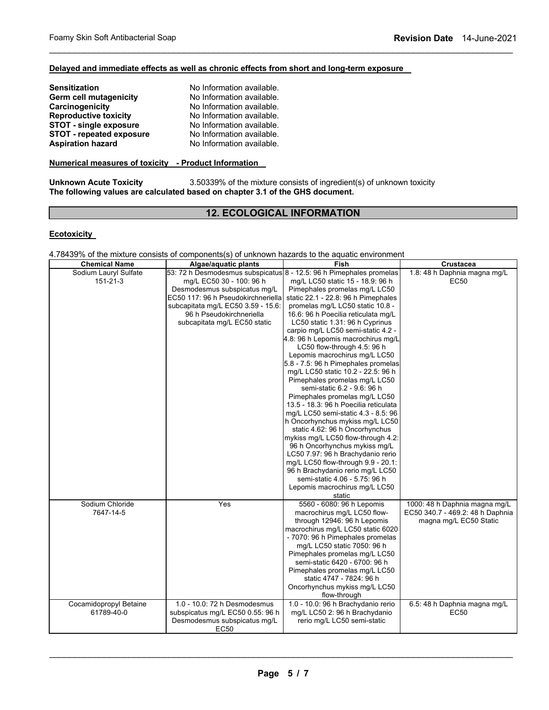## **Delayed and immediate effects as well as chronic effects from short and long-term exposure**

| No Information available. |
|---------------------------|
| No Information available. |
| No Information available. |
| No Information available. |
| No Information available. |
| No Information available. |
| No Information available. |
|                           |

## **Numerical measures of toxicity - Product Information**

**Unknown Acute Toxicity** 3.50339% of the mixture consists of ingredient(s) of unknown toxicity **The following values are calculated based on chapter 3.1 of the GHS document.**

## **12. ECOLOGICAL INFORMATION**

\_\_\_\_\_\_\_\_\_\_\_\_\_\_\_\_\_\_\_\_\_\_\_\_\_\_\_\_\_\_\_\_\_\_\_\_\_\_\_\_\_\_\_\_\_\_\_\_\_\_\_\_\_\_\_\_\_\_\_\_\_\_\_\_\_\_\_\_\_\_\_\_\_\_\_\_\_\_\_\_\_\_\_\_\_\_\_\_\_\_\_\_\_

### **Ecotoxicity**

## 4.78439% of the mixture consists of components(s) of unknown hazards to the aquatic environment

| <b>Chemical Name</b>   | Algae/aquatic plants                                                | Fish                                                              | Crustacea                        |
|------------------------|---------------------------------------------------------------------|-------------------------------------------------------------------|----------------------------------|
| Sodium Lauryl Sulfate  | 53: 72 h Desmodesmus subspicatus 8 - 12.5: 96 h Pimephales promelas |                                                                   | 1.8: 48 h Daphnia magna mg/L     |
| $151 - 21 - 3$         | mg/L EC50 30 - 100: 96 h                                            | mg/L LC50 static 15 - 18.9: 96 h                                  | <b>EC50</b>                      |
|                        | Desmodesmus subspicatus mg/L                                        | Pimephales promelas mg/L LC50                                     |                                  |
|                        | EC50 117: 96 h Pseudokirchneriella                                  | static 22.1 - 22.8: 96 h Pimephales                               |                                  |
|                        | subcapitata mg/L EC50 3.59 - 15.6:                                  | promelas mq/L LC50 static 10.8 -                                  |                                  |
|                        | 96 h Pseudokirchneriella                                            | 16.6: 96 h Poecilia reticulata mg/L                               |                                  |
|                        | subcapitata mg/L EC50 static                                        | LC50 static 1.31: 96 h Cyprinus                                   |                                  |
|                        |                                                                     | carpio mg/L LC50 semi-static 4.2 -                                |                                  |
|                        |                                                                     | 4.8: 96 h Lepomis macrochirus mg/L                                |                                  |
|                        |                                                                     | LC50 flow-through 4.5: 96 h                                       |                                  |
|                        |                                                                     | Lepomis macrochirus mg/L LC50                                     |                                  |
|                        |                                                                     | 5.8 - 7.5: 96 h Pimephales promelas                               |                                  |
|                        |                                                                     | mg/L LC50 static 10.2 - 22.5: 96 h                                |                                  |
|                        |                                                                     | Pimephales promelas mg/L LC50                                     |                                  |
|                        |                                                                     | semi-static 6.2 - 9.6: 96 h                                       |                                  |
|                        |                                                                     | Pimephales promelas mg/L LC50                                     |                                  |
|                        |                                                                     | 13.5 - 18.3: 96 h Poecilia reticulata                             |                                  |
|                        |                                                                     | mg/L LC50 semi-static 4.3 - 8.5: 96                               |                                  |
|                        |                                                                     | h Oncorhynchus mykiss mg/L LC50                                   |                                  |
|                        |                                                                     | static 4.62: 96 h Oncorhynchus                                    |                                  |
|                        |                                                                     | mykiss mg/L LC50 flow-through 4.2:                                |                                  |
|                        |                                                                     | 96 h Oncorhynchus mykiss mg/L                                     |                                  |
|                        |                                                                     | LC50 7.97: 96 h Brachydanio rerio                                 |                                  |
|                        |                                                                     | mg/L LC50 flow-through 9.9 - 20.1:                                |                                  |
|                        |                                                                     | 96 h Brachydanio rerio mg/L LC50<br>semi-static 4.06 - 5.75: 96 h |                                  |
|                        |                                                                     |                                                                   |                                  |
|                        |                                                                     | Lepomis macrochirus mg/L LC50                                     |                                  |
| Sodium Chloride        | Yes                                                                 | static<br>5560 - 6080: 96 h Lepomis                               | 1000: 48 h Daphnia magna mg/L    |
| 7647-14-5              |                                                                     | macrochirus mg/L LC50 flow-                                       | EC50 340.7 - 469.2: 48 h Daphnia |
|                        |                                                                     | through 12946: 96 h Lepomis                                       | magna mg/L EC50 Static           |
|                        |                                                                     | macrochirus mg/L LC50 static 6020                                 |                                  |
|                        |                                                                     | - 7070: 96 h Pimephales promelas                                  |                                  |
|                        |                                                                     | mg/L LC50 static 7050: 96 h                                       |                                  |
|                        |                                                                     | Pimephales promelas mg/L LC50                                     |                                  |
|                        |                                                                     | semi-static 6420 - 6700: 96 h                                     |                                  |
|                        |                                                                     | Pimephales promelas mg/L LC50                                     |                                  |
|                        |                                                                     | static 4747 - 7824: 96 h                                          |                                  |
|                        |                                                                     | Oncorhynchus mykiss mg/L LC50                                     |                                  |
|                        |                                                                     | flow-through                                                      |                                  |
| Cocamidopropyl Betaine | 1.0 - 10.0: 72 h Desmodesmus                                        | 1.0 - 10.0: 96 h Brachydanio rerio                                | 6.5: 48 h Daphnia magna mg/L     |
| 61789-40-0             | subspicatus mg/L EC50 0.55: 96 h                                    | mg/L LC50 2: 96 h Brachydanio                                     | EC50                             |
|                        | Desmodesmus subspicatus mg/L                                        | rerio mg/L LC50 semi-static                                       |                                  |
|                        | <b>EC50</b>                                                         |                                                                   |                                  |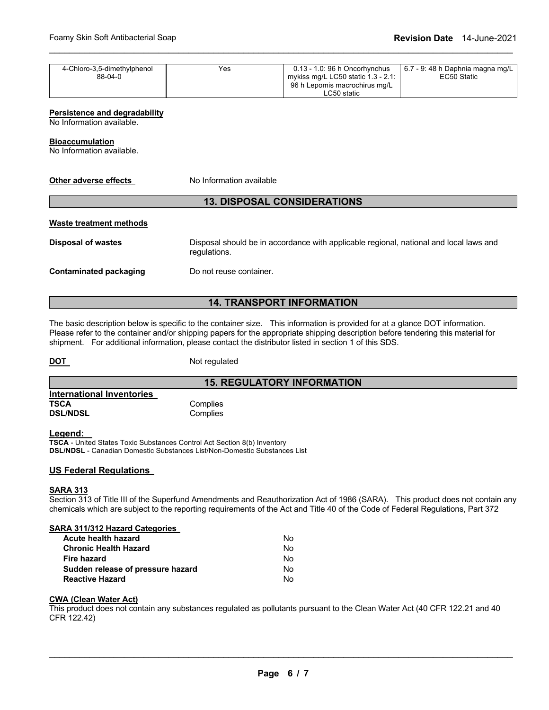| 4-Chloro-3,5-dimethylphenol | Yes | 0.13 - 1.0: 96 h Oncorhynchus         | 6.7 - 9: 48 h Daphnia magna mg/L |
|-----------------------------|-----|---------------------------------------|----------------------------------|
| 88-04-0                     |     | mykiss mg/L LC50 static $1.3 - 2.1$ : | EC50 Static                      |
|                             |     | 96 h Lepomis macrochirus mg/L         |                                  |
|                             |     | ∟C50 static                           |                                  |

\_\_\_\_\_\_\_\_\_\_\_\_\_\_\_\_\_\_\_\_\_\_\_\_\_\_\_\_\_\_\_\_\_\_\_\_\_\_\_\_\_\_\_\_\_\_\_\_\_\_\_\_\_\_\_\_\_\_\_\_\_\_\_\_\_\_\_\_\_\_\_\_\_\_\_\_\_\_\_\_\_\_\_\_\_\_\_\_\_\_\_\_\_

### **Persistence and degradability**

No Information available.

### **Bioaccumulation**

No Information available.

| Other adverse effects              | No Information available                                                                               |  |  |  |  |  |  |  |  |
|------------------------------------|--------------------------------------------------------------------------------------------------------|--|--|--|--|--|--|--|--|
| <b>13. DISPOSAL CONSIDERATIONS</b> |                                                                                                        |  |  |  |  |  |  |  |  |
| Waste treatment methods            |                                                                                                        |  |  |  |  |  |  |  |  |
| <b>Disposal of wastes</b>          | Disposal should be in accordance with applicable regional, national and local laws and<br>regulations. |  |  |  |  |  |  |  |  |
| Contaminated packaging             | Do not reuse container.                                                                                |  |  |  |  |  |  |  |  |

## **14. TRANSPORT INFORMATION**

The basic description below is specific to the container size. This information is provided for at a glance DOT information. Please refer to the container and/or shipping papers for the appropriate shipping description before tendering this material for shipment. For additional information, please contact the distributor listed in section 1 of this SDS.

**DOT** Not regulated

## **15. REGULATORY INFORMATION**

| International Inventories |          |
|---------------------------|----------|
| TSCA                      | Complies |
| <b>DSL/NDSL</b>           | Complies |

### **Legend:**

**TSCA** - United States Toxic Substances Control Act Section 8(b) Inventory **DSL/NDSL** - Canadian Domestic Substances List/Non-Domestic Substances List

## **US Federal Regulations**

### **SARA 313**

Section 313 of Title III of the Superfund Amendments and Reauthorization Act of 1986 (SARA). This product does not contain any chemicals which are subject to the reporting requirements of the Act and Title 40 of the Code of Federal Regulations, Part 372

## **SARA 311/312 Hazard Categories**

| Acute health hazard               | No. |
|-----------------------------------|-----|
| <b>Chronic Health Hazard</b>      | No. |
| Fire hazard                       | No. |
| Sudden release of pressure hazard | No. |
| <b>Reactive Hazard</b>            | No. |

## **CWA (Clean Water Act)**

This product does not contain any substances regulated as pollutants pursuant to the Clean Water Act (40 CFR 122.21 and 40 CFR 122.42)